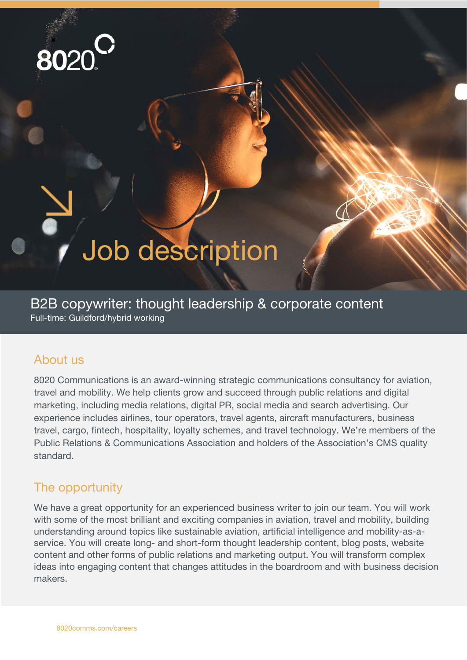

# Job description

B2B copywriter: thought leadership & corporate content Full-time: Guildford/hybrid working

#### About us

8020 Communications is an award-winning strategic communications consultancy for aviation, travel and mobility. We help clients grow and succeed through public relations and digital marketing, including media relations, digital PR, social media and search advertising. Our experience includes airlines, tour operators, travel agents, aircraft manufacturers, business travel, cargo, fintech, hospitality, loyalty schemes, and travel technology. We're members of the Public Relations & Communications Association and holders of the Association's CMS quality standard.

### The opportunity

We have a great opportunity for an experienced business writer to join our team. You will work with some of the most brilliant and exciting companies in aviation, travel and mobility, building understanding around topics like sustainable aviation, artificial intelligence and mobility-as-aservice. You will create long- and short-form thought leadership content, blog posts, website content and other forms of public relations and marketing output. You will transform complex ideas into engaging content that changes attitudes in the boardroom and with business decision makers.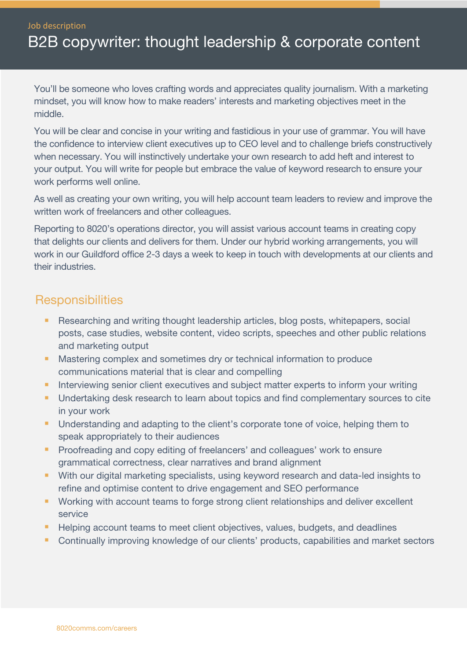Job description

## B2B copywriter: thought leadership & corporate content

You'll be someone who loves crafting words and appreciates quality journalism. With a marketing mindset, you will know how to make readers' interests and marketing objectives meet in the middle.

You will be clear and concise in your writing and fastidious in your use of grammar. You will have the confidence to interview client executives up to CEO level and to challenge briefs constructively when necessary. You will instinctively undertake your own research to add heft and interest to your output. You will write for people but embrace the value of keyword research to ensure your work performs well online.

As well as creating your own writing, you will help account team leaders to review and improve the written work of freelancers and other colleagues.

Reporting to 8020's operations director, you will assist various account teams in creating copy that delights our clients and delivers for them. Under our hybrid working arrangements, you will work in our Guildford office 2-3 days a week to keep in touch with developments at our clients and their industries.

#### **Responsibilities**

- **Researching and writing thought leadership articles, blog posts, whitepapers, social** posts, case studies, website content, video scripts, speeches and other public relations and marketing output
- **Mastering complex and sometimes dry or technical information to produce** communications material that is clear and compelling
- Interviewing senior client executives and subject matter experts to inform your writing
- **Undertaking desk research to learn about topics and find complementary sources to cite** in your work
- **Understanding and adapting to the client's corporate tone of voice, helping them to** speak appropriately to their audiences
- **Proofreading and copy editing of freelancers' and colleagues' work to ensure** grammatical correctness, clear narratives and brand alignment
- With our digital marketing specialists, using keyword research and data-led insights to refine and optimise content to drive engagement and SEO performance
- **Working with account teams to forge strong client relationships and deliver excellent** service
- Helping account teams to meet client objectives, values, budgets, and deadlines
- **Continually improving knowledge of our clients' products, capabilities and market sectors**